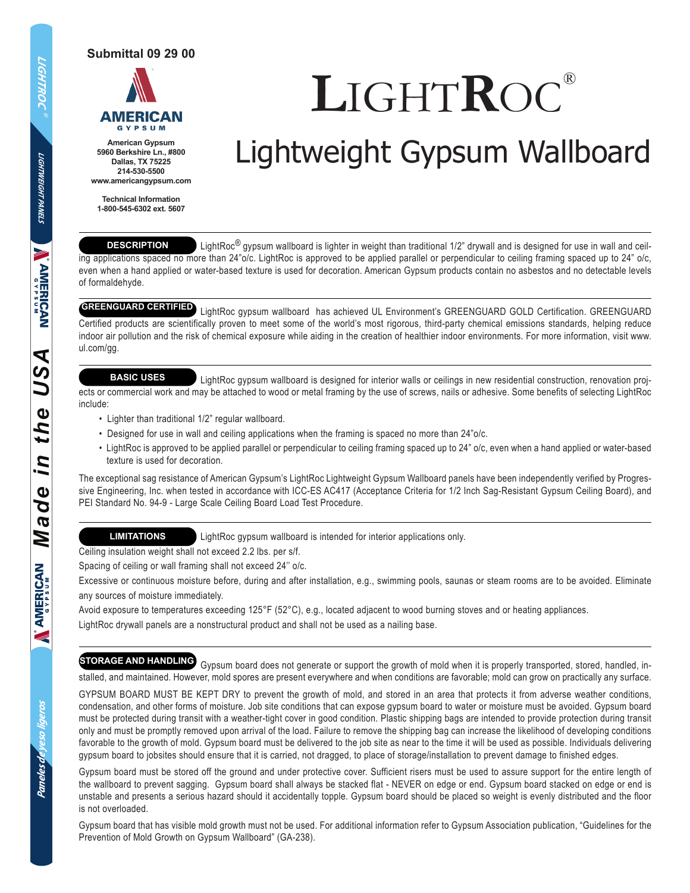**Submittal 09 29 00**



**American Gypsum 5960 Berkshire Ln., #800 Dallas, TX 75225 214-530-5500 www.americangypsum.com**

**Technical Information 1-800-545-6302 ext. 5607**

# **L**IGHT**R**OC*®*

## Lightweight Gypsum Wallboard

#### **DESCRIPTION**

LightRoc<sup>®</sup> gypsum wallboard is lighter in weight than traditional 1/2" drywall and is designed for use in wall and ceiling applications spaced no more than 24"o/c. LightRoc is approved to be applied parallel or perpendicular to ceiling framing spaced up to 24" o/c, even when a hand applied or water-based texture is used for decoration. American Gypsum products contain no asbestos and no detectable levels of formaldehyde.

#### **GREENGUARD CERTIFIED**

 LightRoc gypsum wallboard has achieved UL Environment's GREENGUARD GOLD Certification. GREENGUARD Certified products are scientifically proven to meet some of the world's most rigorous, third-party chemical emissions standards, helping reduce indoor air pollution and the risk of chemical exposure while aiding in the creation of healthier indoor environments. For more information, visit www. ul.com/gg.

#### **BASIC USES**

 LightRoc gypsum wallboard is designed for interior walls or ceilings in new residential construction, renovation projects or commercial work and may be attached to wood or metal framing by the use of screws, nails or adhesive. Some benefits of selecting LightRoc include:

- Lighter than traditional 1/2" regular wallboard.
- Designed for use in wall and ceiling applications when the framing is spaced no more than 24"o/c.
- LightRoc is approved to be applied parallel or perpendicular to ceiling framing spaced up to 24" o/c, even when a hand applied or water-based texture is used for decoration.

The exceptional sag resistance of American Gypsum's LightRoc Lightweight Gypsum Wallboard panels have been independently verified by Progressive Engineering, Inc. when tested in accordance with ICC-ES AC417 (Acceptance Criteria for 1/2 Inch Sag-Resistant Gypsum Ceiling Board), and PEI Standard No. 94-9 - Large Scale Ceiling Board Load Test Procedure.

#### **LIMITATIONS**

LightRoc gypsum wallboard is intended for interior applications only.

Ceiling insulation weight shall not exceed 2.2 lbs. per s/f.

Spacing of ceiling or wall framing shall not exceed 24'' o/c.

Excessive or continuous moisture before, during and after installation, e.g., swimming pools, saunas or steam rooms are to be avoided. Eliminate any sources of moisture immediately.

Avoid exposure to temperatures exceeding 125°F (52°C), e.g., located adjacent to wood burning stoves and or heating appliances. LightRoc drywall panels are a nonstructural product and shall not be used as a nailing base.

### **STORAGE AND HANDLING**

 Gypsum board does not generate or support the growth of mold when it is properly transported, stored, handled, installed, and maintained. However, mold spores are present everywhere and when conditions are favorable; mold can grow on practically any surface.

GYPSUM BOARD MUST BE KEPT DRY to prevent the growth of mold, and stored in an area that protects it from adverse weather conditions, condensation, and other forms of moisture. Job site conditions that can expose gypsum board to water or moisture must be avoided. Gypsum board must be protected during transit with a weather-tight cover in good condition. Plastic shipping bags are intended to provide protection during transit only and must be promptly removed upon arrival of the load. Failure to remove the shipping bag can increase the likelihood of developing conditions favorable to the growth of mold. Gypsum board must be delivered to the job site as near to the time it will be used as possible. Individuals delivering gypsum board to jobsites should ensure that it is carried, not dragged, to place of storage/installation to prevent damage to finished edges.

Gypsum board must be stored off the ground and under protective cover. Sufficient risers must be used to assure support for the entire length of the wallboard to prevent sagging. Gypsum board shall always be stacked flat - NEVER on edge or end. Gypsum board stacked on edge or end is unstable and presents a serious hazard should it accidentally topple. Gypsum board should be placed so weight is evenly distributed and the floor is not overloaded.

Gypsum board that has visible mold growth must not be used. For additional information refer to Gypsum Association publication, "Guidelines for the Prevention of Mold Growth on Gypsum Wallboard" (GA-238).

**LIGHTWEIGHT PANELS**